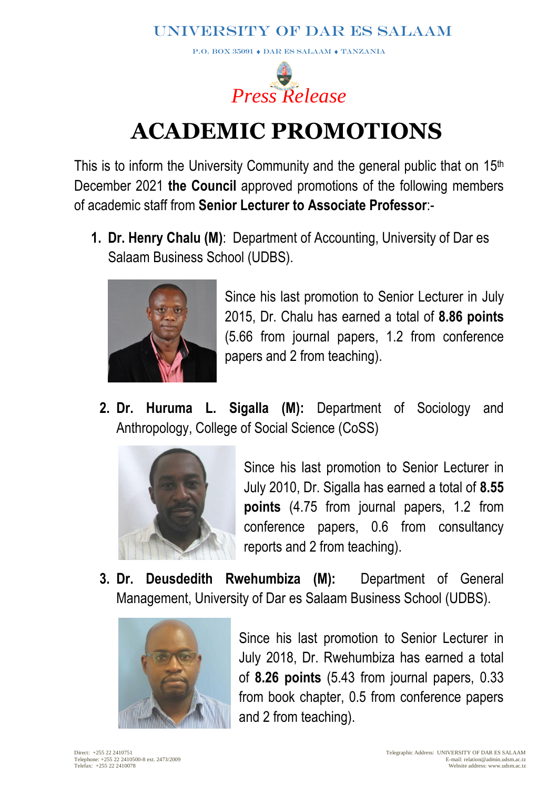**P.O. BOX 35091**  $\bullet$  **DAR ES SALAAM**  $\bullet$  **TANZANIA** 



# **ACADEMIC PROMOTIONS**

This is to inform the University Community and the general public that on 15th December 2021 **the Council** approved promotions of the following members of academic staff from **Senior Lecturer to Associate Professor**:-

**1. Dr. Henry Chalu (M)**: Department of Accounting, University of Dar es Salaam Business School (UDBS).



Since his last promotion to Senior Lecturer in July 2015, Dr. Chalu has earned a total of **8.86 points** (5.66 from journal papers, 1.2 from conference papers and 2 from teaching).

**2. Dr. Huruma L. Sigalla (M):** Department of Sociology and Anthropology, College of Social Science (CoSS)



Since his last promotion to Senior Lecturer in July 2010, Dr. Sigalla has earned a total of **8.55 points** (4.75 from journal papers, 1.2 from conference papers, 0.6 from consultancy reports and 2 from teaching).

**3. Dr. Deusdedith Rwehumbiza (M):** Department of General Management, University of Dar es Salaam Business School (UDBS).



Since his last promotion to Senior Lecturer in July 2018, Dr. Rwehumbiza has earned a total of **8.26 points** (5.43 from journal papers, 0.33 from book chapter, 0.5 from conference papers and 2 from teaching).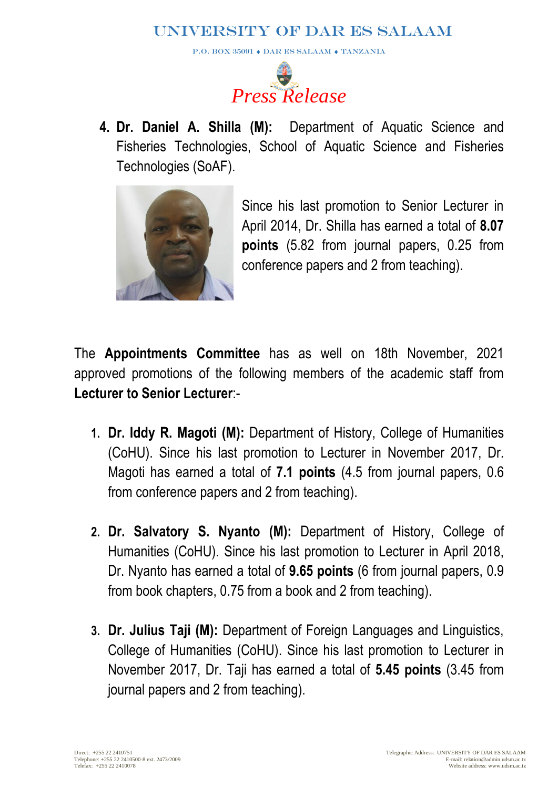**P.O. BOX 35091**  $\bullet$  **DAR ES SALAAM**  $\bullet$  **TANZANIA** 



**4. Dr. Daniel A. Shilla (M):** Department of Aquatic Science and Fisheries Technologies, School of Aquatic Science and Fisheries Technologies (SoAF).



Since his last promotion to Senior Lecturer in April 2014, Dr. Shilla has earned a total of **8.07 points** (5.82 from journal papers, 0.25 from conference papers and 2 from teaching).

The **Appointments Committee** has as well on 18th November, 2021 approved promotions of the following members of the academic staff from **Lecturer to Senior Lecturer**:-

- **1. Dr. Iddy R. Magoti (M):** Department of History, College of Humanities (CoHU). Since his last promotion to Lecturer in November 2017, Dr. Magoti has earned a total of **7.1 points** (4.5 from journal papers, 0.6 from conference papers and 2 from teaching).
- **2. Dr. Salvatory S. Nyanto (M):** Department of History, College of Humanities (CoHU). Since his last promotion to Lecturer in April 2018, Dr. Nyanto has earned a total of **9.65 points** (6 from journal papers, 0.9 from book chapters, 0.75 from a book and 2 from teaching).
- **3. Dr. Julius Taji (M):** Department of Foreign Languages and Linguistics, College of Humanities (CoHU). Since his last promotion to Lecturer in November 2017, Dr. Taji has earned a total of **5.45 points** (3.45 from journal papers and 2 from teaching).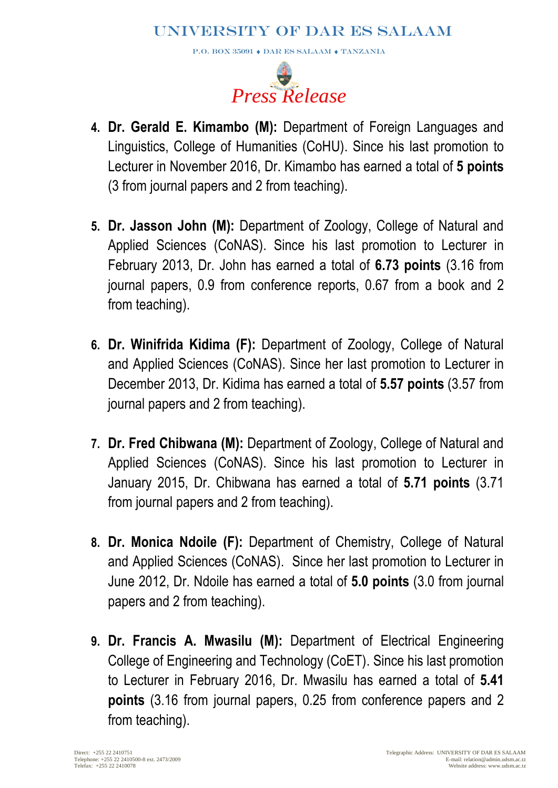P.O. BOX 35091  $\blacklozenge$  DAR ES SALAAM  $\blacklozenge$  TANZANIA



- **4. Dr. Gerald E. Kimambo (M):** Department of Foreign Languages and Linguistics, College of Humanities (CoHU). Since his last promotion to Lecturer in November 2016, Dr. Kimambo has earned a total of **5 points** (3 from journal papers and 2 from teaching).
- **5. Dr. Jasson John (M):** Department of Zoology, College of Natural and Applied Sciences (CoNAS). Since his last promotion to Lecturer in February 2013, Dr. John has earned a total of **6.73 points** (3.16 from journal papers, 0.9 from conference reports, 0.67 from a book and 2 from teaching).
- **6. Dr. Winifrida Kidima (F):** Department of Zoology, College of Natural and Applied Sciences (CoNAS). Since her last promotion to Lecturer in December 2013, Dr. Kidima has earned a total of **5.57 points** (3.57 from journal papers and 2 from teaching).
- **7. Dr. Fred Chibwana (M):** Department of Zoology, College of Natural and Applied Sciences (CoNAS). Since his last promotion to Lecturer in January 2015, Dr. Chibwana has earned a total of **5.71 points** (3.71 from journal papers and 2 from teaching).
- **8. Dr. Monica Ndoile (F):** Department of Chemistry, College of Natural and Applied Sciences (CoNAS). Since her last promotion to Lecturer in June 2012, Dr. Ndoile has earned a total of **5.0 points** (3.0 from journal papers and 2 from teaching).
- **9. Dr. Francis A. Mwasilu (M):** Department of Electrical Engineering College of Engineering and Technology (CoET). Since his last promotion to Lecturer in February 2016, Dr. Mwasilu has earned a total of **5.41 points** (3.16 from journal papers, 0.25 from conference papers and 2 from teaching).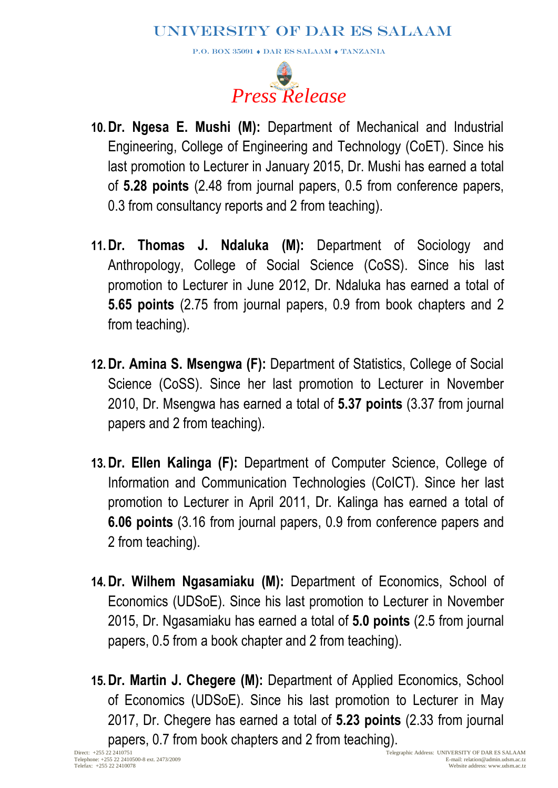P.O. BOX 35091  $\blacklozenge$  DAR ES SALAAM  $\blacklozenge$  TANZANIA



- **10.Dr. Ngesa E. Mushi (M):** Department of Mechanical and Industrial Engineering, College of Engineering and Technology (CoET). Since his last promotion to Lecturer in January 2015, Dr. Mushi has earned a total of **5.28 points** (2.48 from journal papers, 0.5 from conference papers, 0.3 from consultancy reports and 2 from teaching).
- **11.Dr. Thomas J. Ndaluka (M):** Department of Sociology and Anthropology, College of Social Science (CoSS). Since his last promotion to Lecturer in June 2012, Dr. Ndaluka has earned a total of **5.65 points** (2.75 from journal papers, 0.9 from book chapters and 2 from teaching).
- **12.Dr. Amina S. Msengwa (F):** Department of Statistics, College of Social Science (CoSS). Since her last promotion to Lecturer in November 2010, Dr. Msengwa has earned a total of **5.37 points** (3.37 from journal papers and 2 from teaching).
- **13.Dr. Ellen Kalinga (F):** Department of Computer Science, College of Information and Communication Technologies (CoICT). Since her last promotion to Lecturer in April 2011, Dr. Kalinga has earned a total of **6.06 points** (3.16 from journal papers, 0.9 from conference papers and 2 from teaching).
- **14.Dr. Wilhem Ngasamiaku (M):** Department of Economics, School of Economics (UDSoE). Since his last promotion to Lecturer in November 2015, Dr. Ngasamiaku has earned a total of **5.0 points** (2.5 from journal papers, 0.5 from a book chapter and 2 from teaching).
- **15.Dr. Martin J. Chegere (M):** Department of Applied Economics, School of Economics (UDSoE). Since his last promotion to Lecturer in May 2017, Dr. Chegere has earned a total of **5.23 points** (2.33 from journal papers, 0.7 from book chapters and 2 from teaching).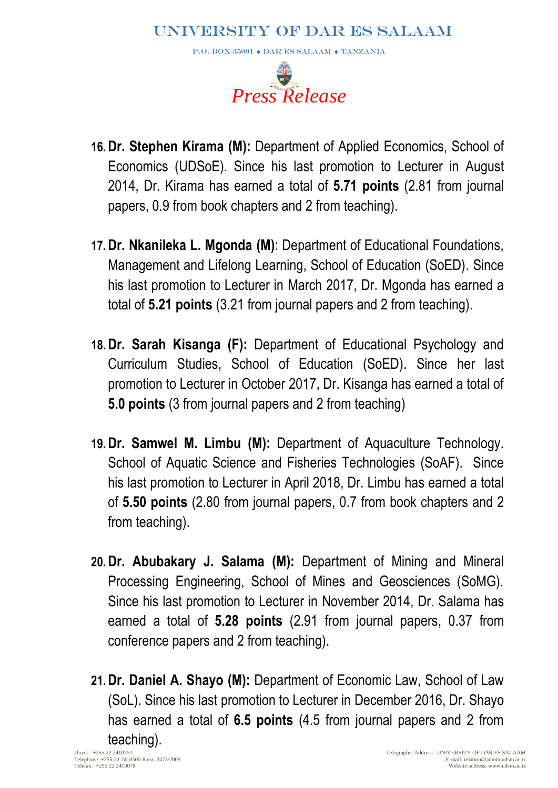P.O. BOX 35091  $\blacklozenge$  DAR ES SALAAM  $\blacklozenge$  TANZANIA



- **16.Dr. Stephen Kirama (M):** Department of Applied Economics, School of Economics (UDSoE). Since his last promotion to Lecturer in August 2014, Dr. Kirama has earned a total of **5.71 points** (2.81 from journal papers, 0.9 from book chapters and 2 from teaching).
- **17.Dr. Nkanileka L. Mgonda (M)**: Department of Educational Foundations, Management and Lifelong Learning, School of Education (SoED). Since his last promotion to Lecturer in March 2017, Dr. Mgonda has earned a total of **5.21 points** (3.21 from journal papers and 2 from teaching).
- **18.Dr. Sarah Kisanga (F):** Department of Educational Psychology and Curriculum Studies, School of Education (SoED). Since her last promotion to Lecturer in October 2017, Dr. Kisanga has earned a total of **5.0 points** (3 from journal papers and 2 from teaching)
- **19.Dr. Samwel M. Limbu (M):** Department of Aquaculture Technology. School of Aquatic Science and Fisheries Technologies (SoAF). Since his last promotion to Lecturer in April 2018, Dr. Limbu has earned a total of **5.50 points** (2.80 from journal papers, 0.7 from book chapters and 2 from teaching).
- **20.Dr. Abubakary J. Salama (M):** Department of Mining and Mineral Processing Engineering, School of Mines and Geosciences (SoMG). Since his last promotion to Lecturer in November 2014, Dr. Salama has earned a total of **5.28 points** (2.91 from journal papers, 0.37 from conference papers and 2 from teaching).
- **21.Dr. Daniel A. Shayo (M):** Department of Economic Law, School of Law (SoL). Since his last promotion to Lecturer in December 2016, Dr. Shayo has earned a total of **6.5 points** (4.5 from journal papers and 2 from teaching).